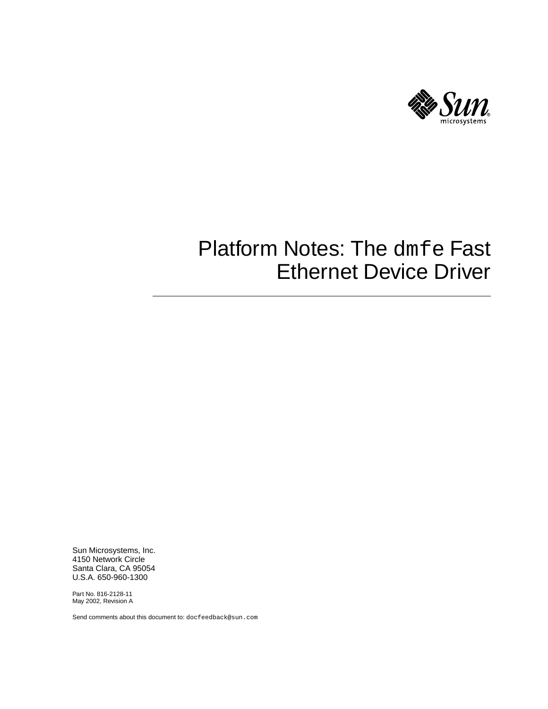

# Platform Notes: The dmfe Fast Ethernet Device Driver

Sun Microsystems, Inc. 4150 Network Circle Santa Clara, CA 95054 U.S.A. 650-960-1300

Part No. 816-2128-11 May 2002, Revision A

Send comments about this document to: docfeedback@sun.com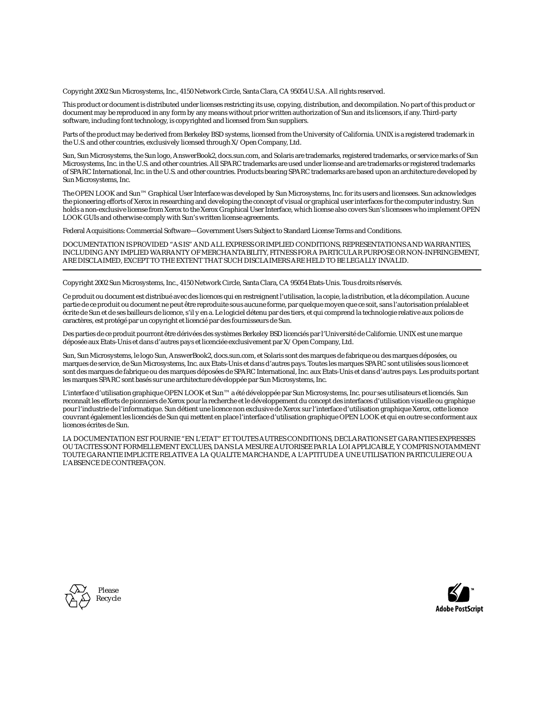Copyright 2002 Sun Microsystems, Inc., 4150 Network Circle, Santa Clara, CA 95054 U.S.A. All rights reserved.

This product or document is distributed under licenses restricting its use, copying, distribution, and decompilation. No part of this product or document may be reproduced in any form by any means without prior written authorization of Sun and its licensors, if any. Third-party software, including font technology, is copyrighted and licensed from Sun suppliers.

Parts of the product may be derived from Berkeley BSD systems, licensed from the University of California. UNIX is a registered trademark in the U.S. and other countries, exclusively licensed through X/Open Company, Ltd.

Sun, Sun Microsystems, the Sun logo, AnswerBook2, docs.sun.com, and Solaris are trademarks, registered trademarks, or service marks of Sun Microsystems, Inc. in the U.S. and other countries. All SPARC trademarks are used under license and are trademarks or registered trademarks of SPARC International, Inc. in the U.S. and other countries. Products bearing SPARC trademarks are based upon an architecture developed by Sun Microsystems, Inc.

The OPEN LOOK and Sun™ Graphical User Interface was developed by Sun Microsystems, Inc. for its users and licensees. Sun acknowledges the pioneering efforts of Xerox in researching and developing the concept of visual or graphical user interfaces for the computer industry. Sun holds a non-exclusive license from Xerox to the Xerox Graphical User Interface, which license also covers Sun's licensees who implement OPEN LOOK GUIs and otherwise comply with Sun's written license agreements.

Federal Acquisitions: Commercial Software—Government Users Subject to Standard License Terms and Conditions.

DOCUMENTATION IS PROVIDED "AS IS" AND ALL EXPRESS OR IMPLIED CONDITIONS, REPRESENTATIONS AND WARRANTIES, INCLUDING ANY IMPLIED WARRANTY OF MERCHANTABILITY, FITNESS FOR A PARTICULAR PURPOSE OR NON-INFRINGEMENT, ARE DISCLAIMED, EXCEPT TO THE EXTENT THAT SUCH DISCLAIMERS ARE HELD TO BE LEGALLY INVALID.

Copyright 2002 Sun Microsystems, Inc., 4150 Network Circle, Santa Clara, CA 95054 Etats-Unis. Tous droits réservés.

Ce produit ou document est distribué avec des licences qui en restreignent l'utilisation, la copie, la distribution, et la décompilation. Aucune partie de ce produit ou document ne peut être reproduite sous aucune forme, par quelque moyen que ce soit, sans l'autorisation préalable et écrite de Sun et de ses bailleurs de licence, s'il y en a. Le logiciel détenu par des tiers, et qui comprend la technologie relative aux polices de caractères, est protégé par un copyright et licencié par des fournisseurs de Sun.

Des parties de ce produit pourront être dérivées des systèmes Berkeley BSD licenciés par l'Université de Californie. UNIX est une marque déposée aux Etats-Unis et dans d'autres pays et licenciée exclusivement par X/Open Company, Ltd.

Sun, Sun Microsystems, le logo Sun, AnswerBook2, docs.sun.com, et Solaris sont des marques de fabrique ou des marques déposées, ou marques de service, de Sun Microsystems, Inc. aux Etats-Unis et dans d'autres pays. Toutes les marques SPARC sont utilisées sous licence et sont des marques de fabrique ou des marques déposées de SPARC International, Inc. aux Etats-Unis et dans d'autres pays. Les produits portant les marques SPARC sont basés sur une architecture développée par Sun Microsystems, Inc.

L'interface d'utilisation graphique OPEN LOOK et Sun™ a été développée par Sun Microsystems, Inc. pour ses utilisateurs et licenciés. Sun reconnaît les efforts de pionniers de Xerox pour la recherche et le développement du concept des interfaces d'utilisation visuelle ou graphique pour l'industrie de l'informatique. Sun détient une licence non exclusive de Xerox sur l'interface d'utilisation graphique Xerox, cette licence couvrant également les licenciés de Sun qui mettent en place l'interface d'utilisation graphique OPEN LOOK et qui en outre se conforment aux licences écrites de Sun.

LA DOCUMENTATION EST FOURNIE "EN L'ETAT" ET TOUTES AUTRES CONDITIONS, DECLARATIONS ET GARANTIES EXPRESSES OU TACITES SONT FORMELLEMENT EXCLUES, DANS LA MESURE AUTORISEE PAR LA LOI APPLICABLE, Y COMPRIS NOTAMMENT TOUTE GARANTIE IMPLICITE RELATIVE A LA QUALITE MARCHANDE, A L'APTITUDE A UNE UTILISATION PARTICULIERE OU A L'ABSENCE DE CONTREFAÇON.



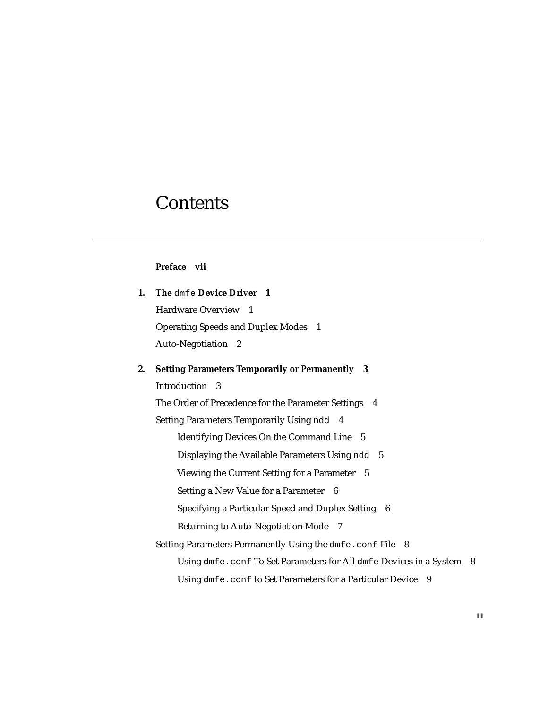### **Contents**

#### **[Preface](#page-6-0) vii**

| 1. The dmfe Device Driver 1                |  |
|--------------------------------------------|--|
| Hardware Overview 1                        |  |
| <b>Operating Speeds and Duplex Modes</b> 1 |  |
| Auto-Negotiation 2                         |  |

#### **2. [Setting Parameters Temporarily or Permanently 3](#page-12-0)**

[Introduction](#page-12-1) 3

[The Order of Precedence for the Parameter Settings](#page-13-0) 4 [Setting Parameters Temporarily Using](#page-13-1) ndd 4 [Identifying Devices On the Command Line 5](#page-14-0) [Displaying the Available Parameters Using](#page-14-1) ndd 5 [Viewing the Current Setting for a Parameter](#page-14-2) 5 [Setting a New Value for a Parameter](#page-15-0) 6 [Specifying a Particular Speed and Duplex Setting](#page-15-1) 6 [Returning to Auto-Negotiation Mode 7](#page-16-0) [Setting Parameters Permanently Using the](#page-17-0) dmfe.conf File 8 [Using](#page-17-1) dmfe.conf To Set Parameters for All dmfe Devices in a System 8 [Using](#page-18-0) dmfe.conf to Set Parameters for a Particular Device 9

**iii**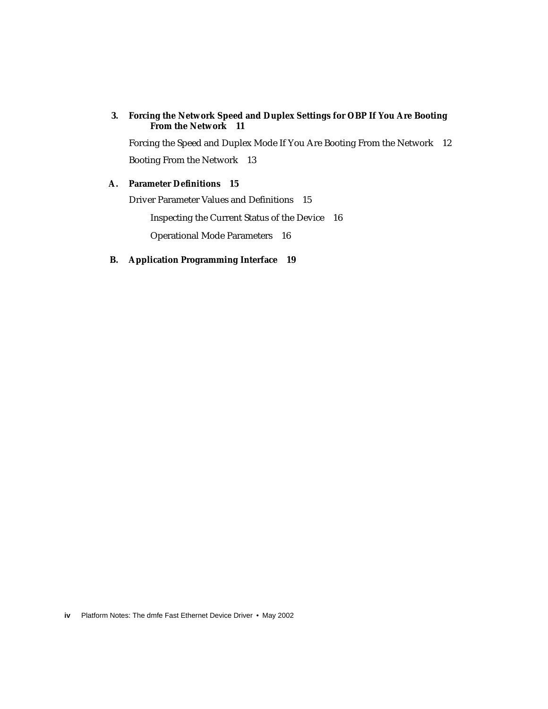#### **3. [Forcing the Network Speed and Duplex Settings for OBP If You Are Booting](#page-20-0) [From the Network 1](#page-20-0)1**

[Forcing the Speed and Duplex Mode If You Are Booting From the Network](#page-21-0) 12 [Booting From the Network 1](#page-22-0)3

#### **A. [Parameter Definitions](#page-24-0) 15**

[Driver Parameter Values and Definitions 1](#page-24-1)5

[Inspecting the Current Status of the Device](#page-25-0) 16

[Operational Mode Parameters](#page-25-1) 16

#### **B. [Application Programming Interface](#page-28-0) 19**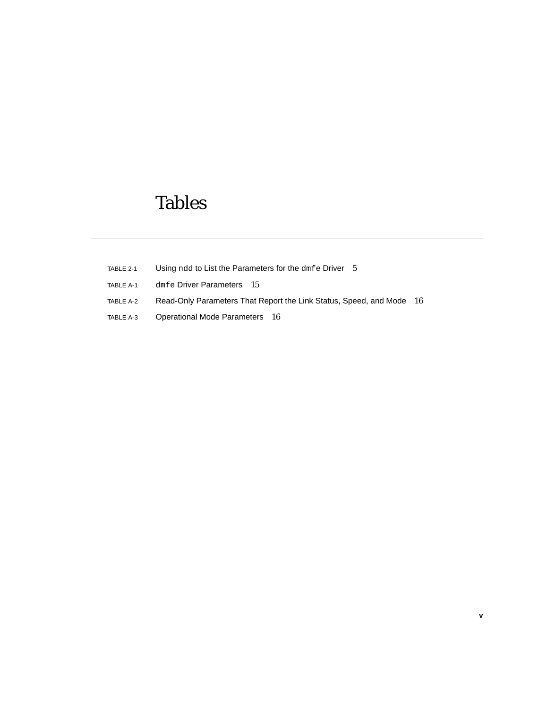## Tables

- TABLE 2-1 Using ndd to List the Parameters for the dmfe Driver 5
- TABLE A-1 dmfe Driver Parameters 15
- TABLE A-2 Read-Only Parameters That Report the Link Status, Speed, and Mode 16
- TABLE A-3 Operational Mode Parameters 16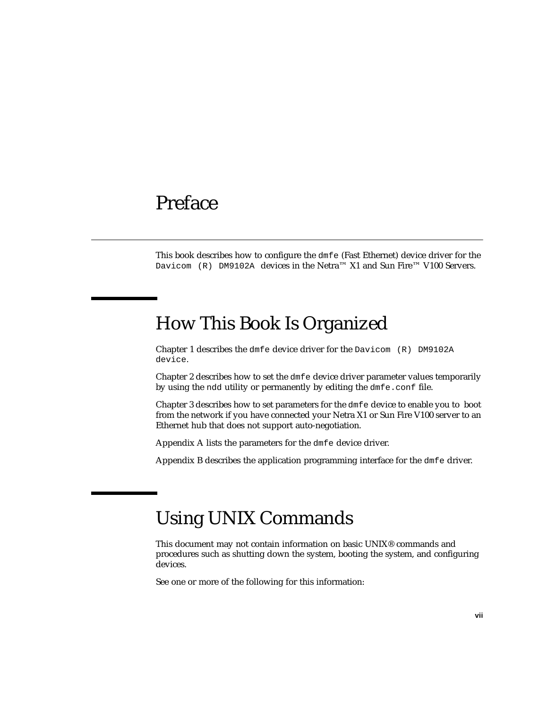## <span id="page-6-0"></span>Preface

This book describes how to configure the dmfe (Fast Ethernet) device driver for the Davicom (R) DM9102A devices in the Netra™ X1 and Sun Fire™ V100 Servers.

## How This Book Is Organized

[Chapter 1](#page-10-3) describes the dmfe device driver for the Davicom (R) DM9102A device.

[Chapter 2](#page-12-2) describes how to set the dmfe device driver parameter values temporarily by using the ndd utility or permanently by editing the dmfe.conf file.

[Chapter 3](#page-20-1) describes how to set parameters for the dmfe device to enable you to boot from the network if you have connected your Netra X1 or Sun Fire V100 server to an Ethernet hub that does not support auto-negotiation.

[Appendix A](#page-24-2) lists the parameters for the dmfe device driver.

[Appendix B](#page-28-1) describes the application programming interface for the dmfe driver.

## Using UNIX Commands

This document may not contain information on basic UNIX® commands and procedures such as shutting down the system, booting the system, and configuring devices.

See one or more of the following for this information: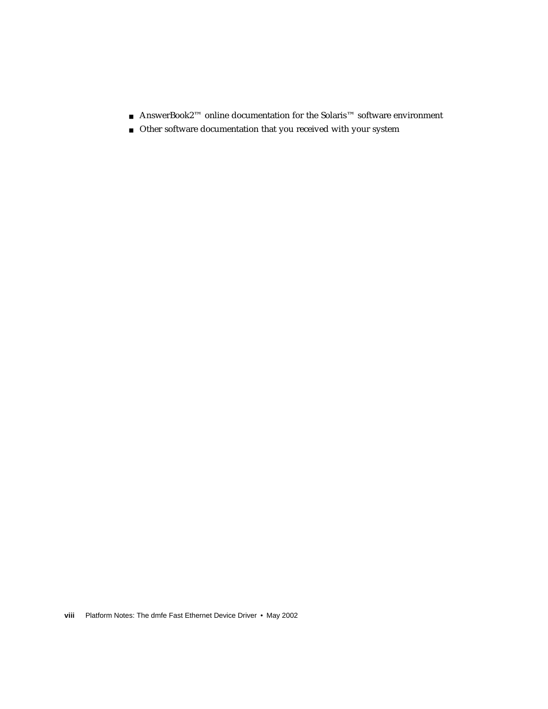- AnswerBook2<sup>™</sup> online documentation for the Solaris<sup>™</sup> software environment
- Other software documentation that you received with your system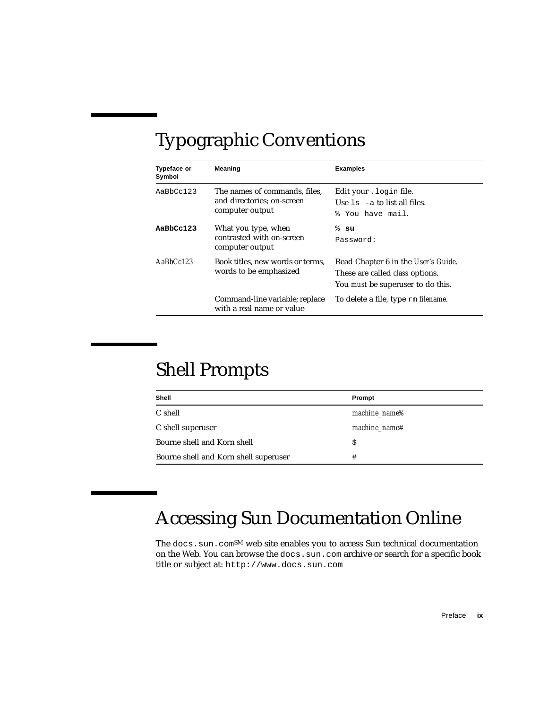# Typographic Conventions

| <b>Typeface or</b><br>Symbol | Meaning                                                                        | <b>Examples</b>                                                                                                           |
|------------------------------|--------------------------------------------------------------------------------|---------------------------------------------------------------------------------------------------------------------------|
| AaBbCc123                    | The names of commands, files,<br>and directories; on-screen<br>computer output | Edit your . login file.<br>Use $1s$ -a to list all files.<br>% You have mail.                                             |
| AaBbCc123                    | What you type, when<br>contrasted with on-screen<br>computer output            | ៖ su<br>Password:                                                                                                         |
| $A$ a $BbCc123$              | Book titles, new words or terms,<br>words to be emphasized                     | Read Chapter 6 in the User's Guide.<br>These are called <i>class</i> options.<br>You <i>must</i> be superuser to do this. |
|                              | Command-line variable; replace<br>with a real name or value                    | To delete a file, type rm filename.                                                                                       |

## Shell Prompts

| Shell                                 | Prompt                    |
|---------------------------------------|---------------------------|
| C shell                               | machine name <sup>§</sup> |
| C shell superuser                     | machine name#             |
| Bourne shell and Korn shell           | \$                        |
| Bourne shell and Korn shell superuser | #                         |

# Accessing Sun Documentation Online

The docs.sun.com<sup>SM</sup> web site enables you to access Sun technical documentation on the Web. You can browse the docs.sun.com archive or search for a specific book title or subject at: http://www.docs.sun.com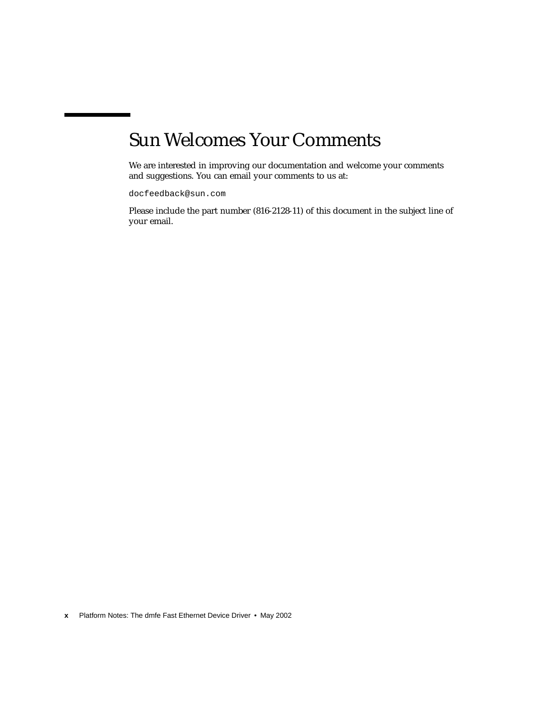# Sun Welcomes Your Comments

We are interested in improving our documentation and welcome your comments and suggestions. You can email your comments to us at:

docfeedback@sun.com

Please include the part number (816-2128-11) of this document in the subject line of your email.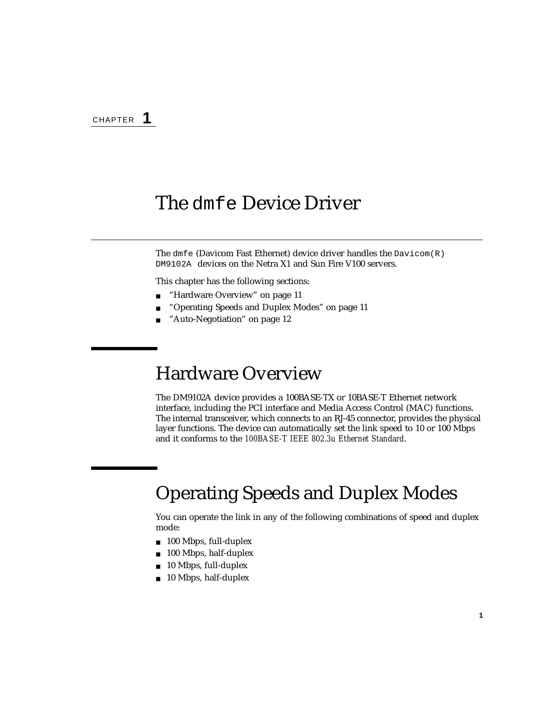### <span id="page-10-3"></span><span id="page-10-0"></span>The dmfe Device Driver

The dmfe (Davicom Fast Ethernet) device driver handles the  $D$ avicom(R) DM9102A devices on the Netra X1 and Sun Fire V100 servers.

This chapter has the following sections:

- ["Hardware Overview" on page 11](#page-10-1)
- ["Operating Speeds and Duplex Modes" on page 11](#page-10-2)
- ["Auto-Negotiation" on page 12](#page-11-0)

### <span id="page-10-1"></span>Hardware Overview

The DM9102A device provides a 100BASE-TX or 10BASE-T Ethernet network interface, including the PCI interface and Media Access Control (MAC) functions. The internal transceiver, which connects to an RJ-45 connector, provides the physical layer functions. The device can automatically set the link speed to 10 or 100 Mbps and it conforms to the *100BASE-T IEEE 802.3u Ethernet Standard*.

## <span id="page-10-2"></span>Operating Speeds and Duplex Modes

You can operate the link in any of the following combinations of speed and duplex mode:

- 100 Mbps, full-duplex
- 100 Mbps, half-duplex
- 10 Mbps, full-duplex
- 10 Mbps, half-duplex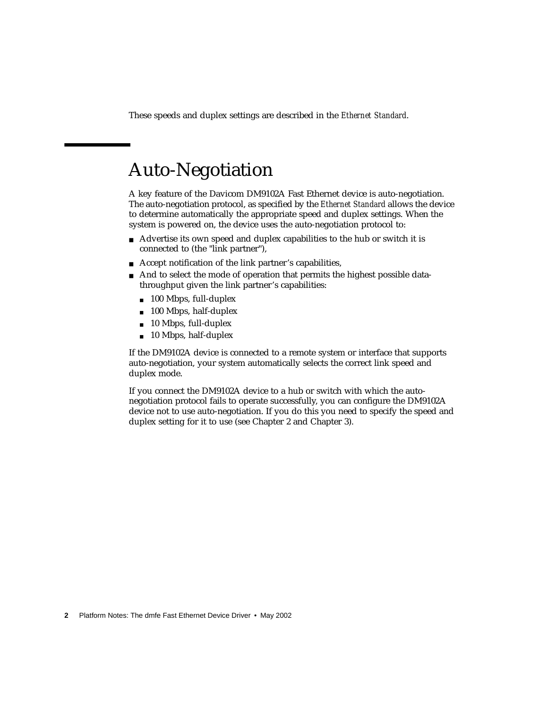These speeds and duplex settings are described in the *Ethernet Standard*.

## <span id="page-11-0"></span>Auto-Negotiation

A key feature of the Davicom DM9102A Fast Ethernet device is auto-negotiation. The auto-negotiation protocol, as specified by the *Ethernet Standard* allows the device to determine automatically the appropriate speed and duplex settings. When the system is powered on, the device uses the auto-negotiation protocol to:

- Advertise its own speed and duplex capabilities to the hub or switch it is connected to (the "link partner"),
- Accept notification of the link partner's capabilities,
- And to select the mode of operation that permits the highest possible datathroughput given the link partner's capabilities:
	- 100 Mbps, full-duplex
	- 100 Mbps, half-duplex
	- 10 Mbps, full-duplex
	- 10 Mbps, half-duplex

If the DM9102A device is connected to a remote system or interface that supports auto-negotiation, your system automatically selects the correct link speed and duplex mode.

If you connect the DM9102A device to a hub or switch with which the autonegotiation protocol fails to operate successfully, you can configure the DM9102A device not to use auto-negotiation. If you do this you need to specify the speed and duplex setting for it to use (see [Chapter 2](#page-12-2) and [Chapter 3](#page-20-1)).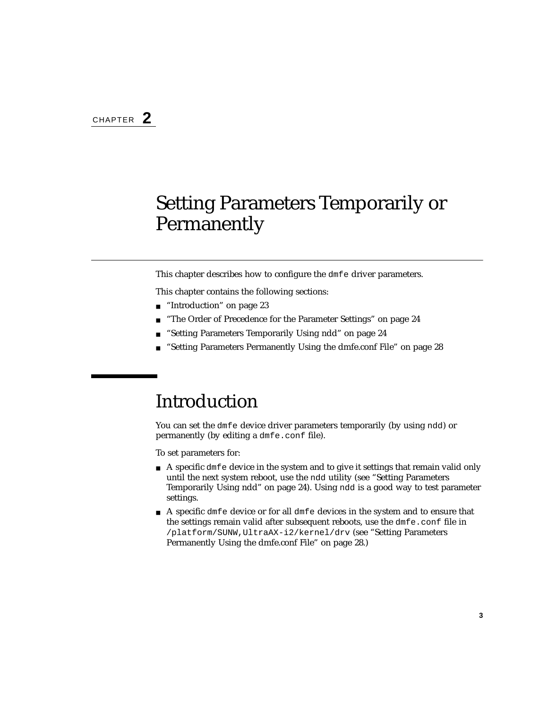# <span id="page-12-2"></span><span id="page-12-0"></span>Setting Parameters Temporarily or Permanently

This chapter describes how to configure the dmfe driver parameters.

This chapter contains the following sections:

- ["Introduction" on page 23](#page-12-1)
- ["The Order of Precedence for the Parameter Settings" on page 24](#page-13-0)
- ["Setting Parameters Temporarily Using ndd" on page 24](#page-13-1)
- ["Setting Parameters Permanently Using the dmfe.conf File" on page 28](#page-17-0)

## <span id="page-12-1"></span>Introduction

You can set the dmfe device driver parameters temporarily (by using ndd) or permanently (by editing a dmfe.conf file).

To set parameters for:

- $\blacksquare$  A specific dmf e device in the system and to give it settings that remain valid only until the next system reboot, use the ndd utility (see ["Setting Parameters](#page-13-1) [Temporarily Using ndd" on page 24\)](#page-13-1). Using ndd is a good way to test parameter settings.
- A specific dmfe device or for all dmfe devices in the system and to ensure that the settings remain valid after subsequent reboots, use the dmfe.conf file in /platform/SUNW,UltraAX-i2/kernel/drv (see ["Setting Parameters](#page-17-0) [Permanently Using the dmfe.conf File" on page 28.](#page-17-0))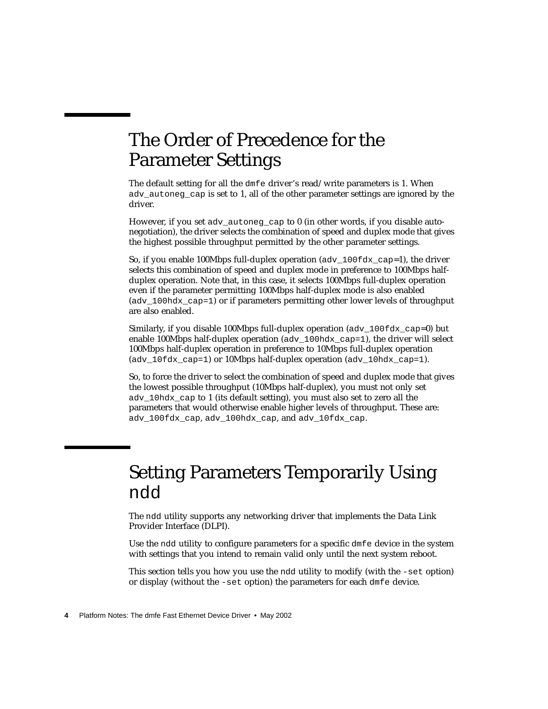# <span id="page-13-0"></span>The Order of Precedence for the Parameter Settings

The default setting for all the dmfe driver's read/write parameters is 1. When ady autoneg cap is set to 1, all of the other parameter settings are ignored by the driver.

However, if you set adv autoneg cap to 0 (in other words, if you disable autonegotiation), the driver selects the combination of speed and duplex mode that gives the highest possible throughput permitted by the other parameter settings.

So, if you enable 100Mbps full-duplex operation ( $adv$  100fdx cap=1), the driver selects this combination of speed and duplex mode in preference to 100Mbps halfduplex operation. Note that, in this case, it selects 100Mbps full-duplex operation even if the parameter permitting 100Mbps half-duplex mode is also enabled (adv  $100$ hdx cap=1) or if parameters permitting other lower levels of throughput are also enabled.

Similarly, if you disable 100Mbps full-duplex operation ( $adv$  100fdx  $cap=0$ ) but enable 100Mbps half-duplex operation ( $adv$  100 $hdx$  cap=1), the driver will select 100Mbps half-duplex operation in preference to 10Mbps full-duplex operation (adv 10fdx cap=1) or 10Mbps half-duplex operation (adv 10hdx cap=1).

So, to force the driver to select the combination of speed and duplex mode that gives the lowest possible throughput (10Mbps half-duplex), you must not only set adv\_10hdx\_cap to 1 (its default setting), you must also set to zero all the parameters that would otherwise enable higher levels of throughput. These are: adv\_100fdx\_cap, adv\_100hdx\_cap, and adv\_10fdx\_cap.

## <span id="page-13-1"></span>Setting Parameters Temporarily Using ndd

The ndd utility supports any networking driver that implements the Data Link Provider Interface (DLPI).

Use the ndd utility to configure parameters for a specific dmfe device in the system with settings that you intend to remain valid only until the next system reboot.

This section tells you how you use the ndd utility to modify (with the -set option) or display (without the -set option) the parameters for each dmfe device.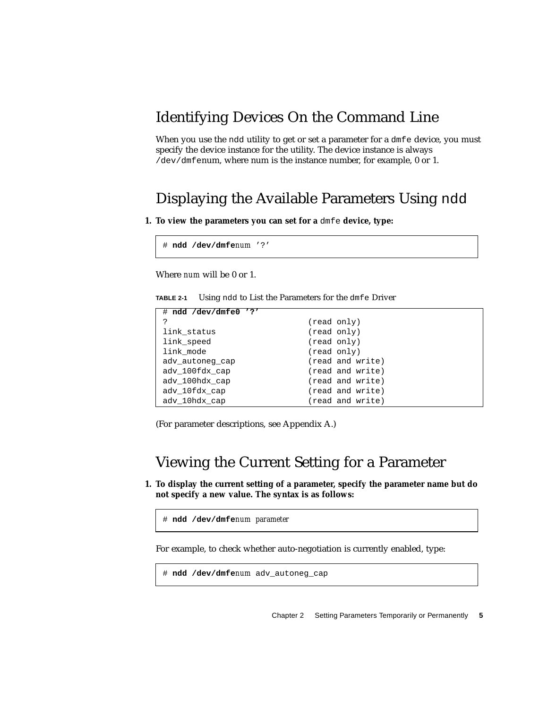### <span id="page-14-0"></span>Identifying Devices On the Command Line

When you use the ndd utility to get or set a parameter for a dmfe device, you must specify the device instance for the utility. The device instance is always /dev/dmfenum, where num is the instance number, for example, 0 or 1.

#### Displaying the Available Parameters Using ndd

<span id="page-14-1"></span>**1. To view the parameters you can set for a** dmfe **device, type:**

```
# ndd /dev/dmfenum '?'
```
Where *num* will be 0 or 1.

**TABLE 2-1** Using ndd to List the Parameters for the dmfe Driver

| $# \text{ ndd } / \text{dev/dmfe0}$ '?' |                  |
|-----------------------------------------|------------------|
| ?                                       | (read only)      |
| link status                             | (read only)      |
| link_speed                              | (read only)      |
| link_mode                               | (read only)      |
| adv autoneg cap                         | (read and write) |
| ady 100fdx cap                          | (read and write) |
| ady 100hdx cap                          | (read and write) |
| ady 10fdx cap                           | (read and write) |
| ady 10hdx cap                           | (read and write) |

(For parameter descriptions, see [Appendix A.](#page-24-2))

#### Viewing the Current Setting for a Parameter

<span id="page-14-2"></span>**1. To display the current setting of a parameter, specify the parameter name but do not specify a new value. The syntax is as follows:**

```
# ndd /dev/dmfenum parameter
```
For example, to check whether auto-negotiation is currently enabled, type:

```
# ndd /dev/dmfenum adv_autoneg_cap
```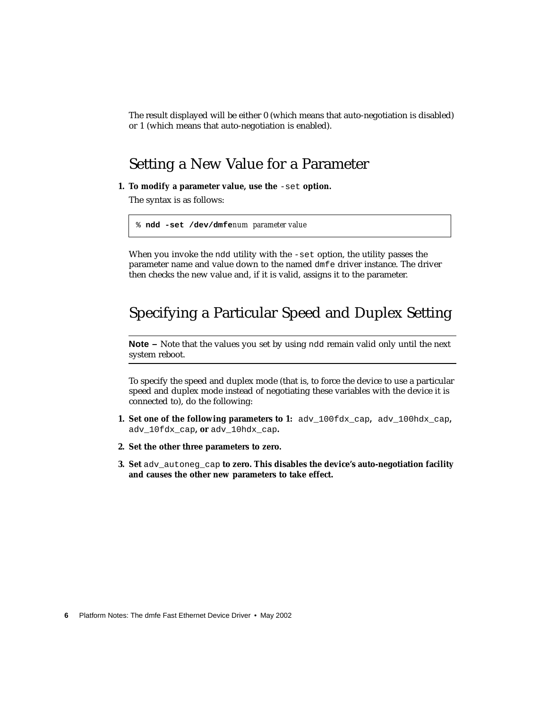The result displayed will be either 0 (which means that auto-negotiation is disabled) or 1 (which means that auto-negotiation is enabled).

#### Setting a New Value for a Parameter

<span id="page-15-0"></span>**1. To modify a parameter value, use the** -set **option.**

The syntax is as follows:

```
% ndd -set /dev/dmfenum parameter value
```
When you invoke the ndd utility with the -set option, the utility passes the parameter name and value down to the named dmfe driver instance. The driver then checks the new value and, if it is valid, assigns it to the parameter.

#### <span id="page-15-1"></span>Specifying a Particular Speed and Duplex Setting

**Note –** Note that the values you set by using ndd remain valid only until the next system reboot.

To specify the speed and duplex mode (that is, to force the device to use a particular speed and duplex mode instead of negotiating these variables with the device it is connected to), do the following:

- **1. Set one of the following parameters to 1:** adv\_100fdx\_cap**,** adv\_100hdx\_cap**,** adv\_10fdx\_cap**, or** adv\_10hdx\_cap**.**
- **2. Set the other three parameters to zero.**
- **3. Set** adv\_autoneg\_cap **to zero. This disables the device's auto-negotiation facility and causes the other new parameters to take effect.**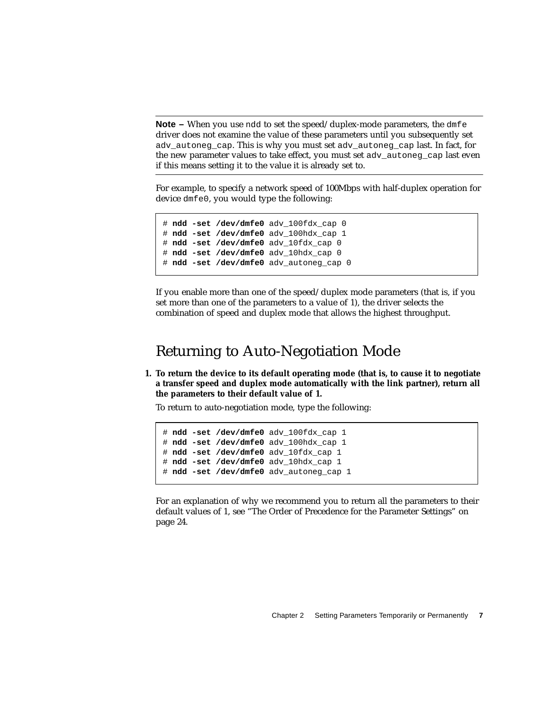**Note –** When you use ndd to set the speed/duplex-mode parameters, the dmfe driver does not examine the value of these parameters until you subsequently set adv\_autoneg\_cap. This is why you must set adv\_autoneg\_cap last. In fact, for the new parameter values to take effect, you must set adv\_autoneg\_cap last even if this means setting it to the value it is already set to.

For example, to specify a network speed of 100Mbps with half-duplex operation for device dmfe0, you would type the following:

```
# ndd -set /dev/dmfe0 adv_100fdx_cap 0
# ndd -set /dev/dmfe0 adv_100hdx_cap 1
# ndd -set /dev/dmfe0 adv_10fdx_cap 0
# ndd -set /dev/dmfe0 adv_10hdx_cap 0
# ndd -set /dev/dmfe0 adv_autoneg_cap 0
```
If you enable more than one of the speed/duplex mode parameters (that is, if you set more than one of the parameters to a value of 1), the driver selects the combination of speed and duplex mode that allows the highest throughput.

#### Returning to Auto-Negotiation Mode

<span id="page-16-0"></span>**1. To return the device to its default operating mode (that is, to cause it to negotiate a transfer speed and duplex mode automatically with the link partner), return all the parameters to their default value of 1.**

To return to auto-negotiation mode, type the following:

```
# ndd -set /dev/dmfe0 adv_100fdx_cap 1
# ndd -set /dev/dmfe0 adv_100hdx_cap 1
# ndd -set /dev/dmfe0 adv_10fdx_cap 1
# ndd -set /dev/dmfe0 adv_10hdx_cap 1
# ndd -set /dev/dmfe0 adv_autoneg_cap 1
```
For an explanation of why we recommend you to return all the parameters to their default values of 1, see ["The Order of Precedence for the Parameter Settings" on](#page-13-0) [page 24](#page-13-0).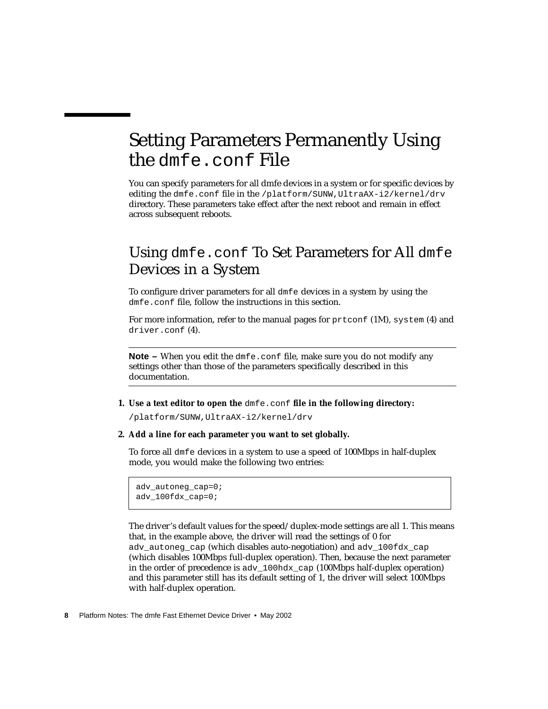# <span id="page-17-0"></span>Setting Parameters Permanently Using the dmfe.conf File

You can specify parameters for all dmfe devices in a system or for specific devices by editing the dmfe.conf file in the /platform/SUNW,UltraAX-i2/kernel/drv directory. These parameters take effect after the next reboot and remain in effect across subsequent reboots.

### <span id="page-17-1"></span>Using dmfe.conf To Set Parameters for All dmfe Devices in a System

To configure driver parameters for all dmfe devices in a system by using the dmfe.conf file, follow the instructions in this section.

For more information, refer to the manual pages for prtconf (1M), system (4) and driver.conf (4).

**Note –** When you edit the dmfe.conf file, make sure you do not modify any settings other than those of the parameters specifically described in this documentation.

**1. Use a text editor to open the** dmfe.conf **file in the following directory:**

/platform/SUNW,UltraAX-i2/kernel/drv

**2. Add a line for each parameter you want to set globally.**

To force all dmfe devices in a system to use a speed of 100Mbps in half-duplex mode, you would make the following two entries:

```
adv_autoneg_cap=0;
adv_100fdx_cap=0;
```
The driver's default values for the speed/duplex-mode settings are all 1. This means that, in the example above, the driver will read the settings of 0 for ady autoneg cap (which disables auto-negotiation) and adv  $100fdx$  cap (which disables 100Mbps full-duplex operation). Then, because the next parameter in the order of precedence is adv  $100\,\text{hdx}$  cap (100Mbps half-duplex operation) and this parameter still has its default setting of 1, the driver will select 100Mbps with half-duplex operation.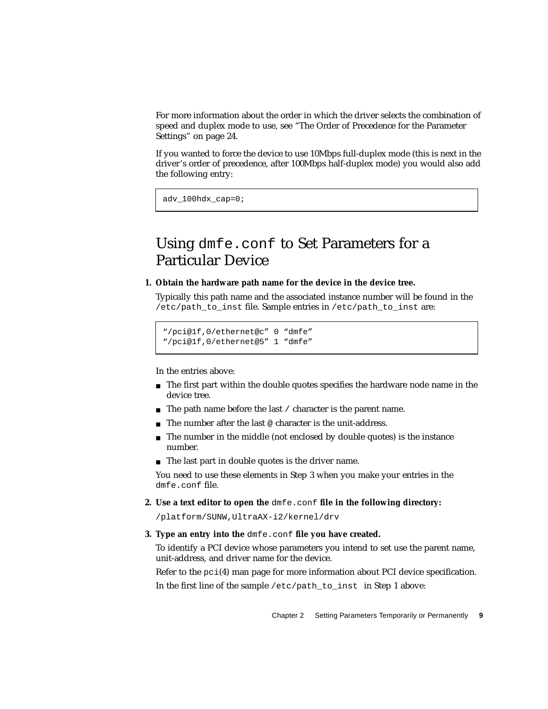For more information about the order in which the driver selects the combination of speed and duplex mode to use, see ["The Order of Precedence for the Parameter](#page-13-0) [Settings" on page 24](#page-13-0).

If you wanted to force the device to use 10Mbps full-duplex mode (this is next in the driver's order of precedence, after 100Mbps half-duplex mode) you would also add the following entry:

adv\_100hdx\_cap=0;

### <span id="page-18-0"></span>Using dmfe.conf to Set Parameters for a Particular Device

#### <span id="page-18-2"></span>**1. Obtain the hardware path name for the device in the device tree.**

Typically this path name and the associated instance number will be found in the /etc/path\_to\_inst file. Sample entries in /etc/path\_to\_inst are:

```
"/pci@1f,0/ethernet@c" 0 "dmfe"
"/pci@1f,0/ethernet@5" 1 "dmfe"
```
In the entries above:

- The first part within the double quotes specifies the hardware node name in the device tree.
- $\blacksquare$  The path name before the last / character is the parent name.
- The number after the last @ character is the unit-address.
- The number in the middle (not enclosed by double quotes) is the instance number.
- The last part in double quotes is the driver name.

You need to use these elements in [Step 3](#page-18-1) when you make your entries in the dmfe.conf file.

**2. Use a text editor to open the** dmfe.conf **file in the following directory:**

/platform/SUNW,UltraAX-i2/kernel/drv

<span id="page-18-1"></span>**3. Type an entry into the** dmfe.conf **file you have created.**

To identify a PCI device whose parameters you intend to set use the parent name, unit-address, and driver name for the device.

Refer to the  $pci(4)$  man page for more information about PCI device specification. In the first line of the sample /etc/path\_to\_inst\_in [Step 1](#page-18-2) above: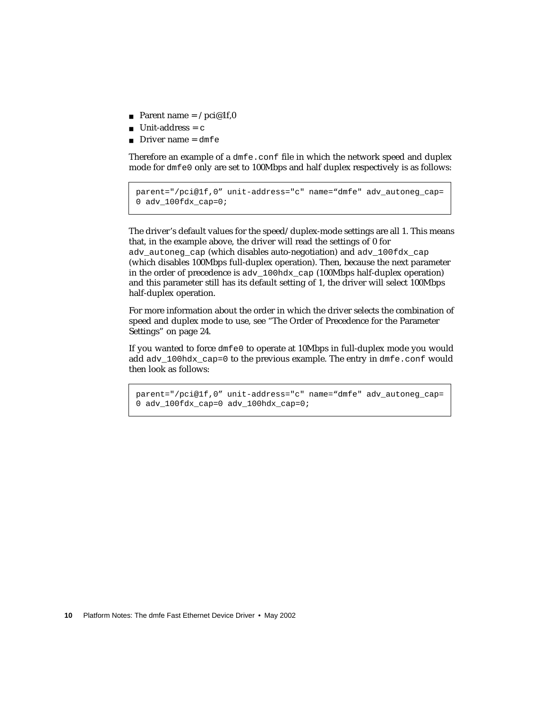- Parent name =  $/$ pci@1f,0
- $\blacksquare$  Unit-address = c
- Driver name =  $dmfe$

Therefore an example of a dmfe.conf file in which the network speed and duplex mode for dmfe0 only are set to 100Mbps and half duplex respectively is as follows:

```
parent="/pci@1f,0" unit-address="c" name="dmfe" adv_autoneg_cap=
0 adv_100fdx_cap=0;
```
The driver's default values for the speed/duplex-mode settings are all 1. This means that, in the example above, the driver will read the settings of 0 for adv\_autoneg\_cap (which disables auto-negotiation) and adv\_100fdx\_cap (which disables 100Mbps full-duplex operation). Then, because the next parameter in the order of precedence is adv\_100hdx\_cap (100Mbps half-duplex operation) and this parameter still has its default setting of 1, the driver will select 100Mbps half-duplex operation.

For more information about the order in which the driver selects the combination of speed and duplex mode to use, see ["The Order of Precedence for the Parameter](#page-13-0) [Settings" on page 24](#page-13-0).

If you wanted to force dmfe0 to operate at 10Mbps in full-duplex mode you would add adv  $100$ hdx cap=0 to the previous example. The entry in dmfe.conf would then look as follows:

```
parent="/pci@1f,0" unit-address="c" name="dmfe" adv_autoneg_cap=
0 adv 100fdx cap=0 adv 100hdx cap=0;
```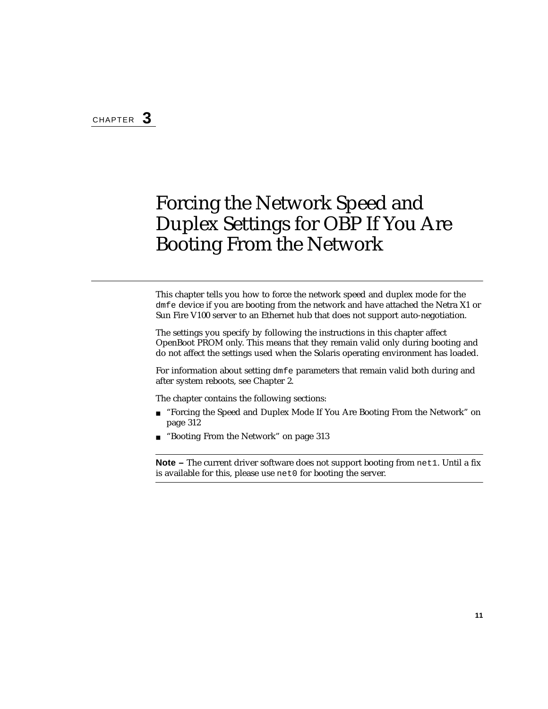# <span id="page-20-1"></span><span id="page-20-0"></span>Forcing the Network Speed and Duplex Settings for OBP If You Are Booting From the Network

This chapter tells you how to force the network speed and duplex mode for the dmfe device if you are booting from the network and have attached the Netra X1 or Sun Fire V100 server to an Ethernet hub that does not support auto-negotiation.

The settings you specify by following the instructions in this chapter affect OpenBoot PROM only. This means that they remain valid only during booting and do not affect the settings used when the Solaris operating environment has loaded.

For information about setting dmfe parameters that remain valid both during and after system reboots, see [Chapter 2.](#page-12-2)

The chapter contains the following sections:

- ["Forcing the Speed and Duplex Mode If You Are Booting From the Network" on](#page-21-0) [page 312](#page-21-0)
- ["Booting From the Network" on page 313](#page-22-0)

**Note –** The current driver software does not support booting from net1. Until a fix is available for this, please use net0 for booting the server.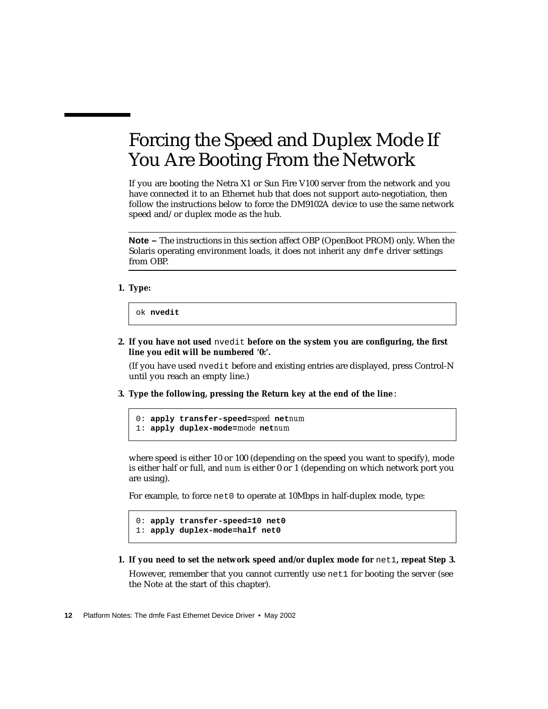# <span id="page-21-0"></span>Forcing the Speed and Duplex Mode If You Are Booting From the Network

If you are booting the Netra X1 or Sun Fire V100 server from the network and you have connected it to an Ethernet hub that does not support auto-negotiation, then follow the instructions below to force the DM9102A device to use the same network speed and/or duplex mode as the hub.

**Note –** The instructions in this section affect OBP (OpenBoot PROM) only. When the Solaris operating environment loads, it does not inherit any dmfe driver settings from OBP.

**1. Type:**

ok **nvedit**

**2. If you have not used** nvedit **before on the system you are configuring, the first line you edit will be numbered '0:'.**

(If you have used nvedit before and existing entries are displayed, press Control-N until you reach an empty line.)

<span id="page-21-1"></span>**3. Type the following, pressing the Return key at the end of the line**:

```
0: apply transfer-speed=speed netnum
1: apply duplex-mode=mode netnum
```
where speed is either 10 or 100 (depending on the speed you want to specify), mode is either half or full, and *num* is either 0 or 1 (depending on which network port you are using).

For example, to force net0 to operate at 10Mbps in half-duplex mode, type:

```
0: apply transfer-speed=10 net0
1: apply duplex-mode=half net0
```
**1. If you need to set the network speed and/or duplex mode for** net1**, repeat [Step 3.](#page-21-1)** However, remember that you cannot currently use net1 for booting the server (see the Note at the start of this chapter).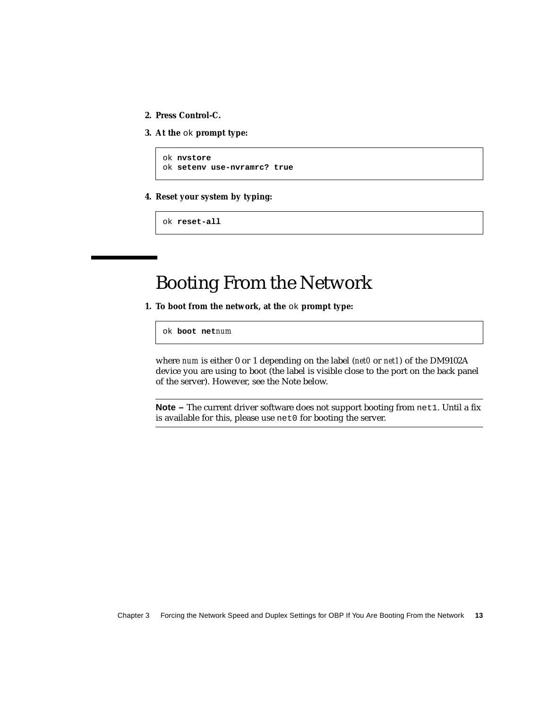- **2. Press Control-C.**
- **3. At the** ok **prompt type:**

```
ok nvstore
ok setenv use-nvramrc? true
```
**4. Reset your system by typing:**

ok **reset-all**

## Booting From the Network

<span id="page-22-0"></span>**1. To boot from the network, at the** ok **prompt type:**

ok **boot net***num*

where *num* is either 0 or 1 depending on the label (*net0* or *net1*) of the DM9102A device you are using to boot (the label is visible close to the port on the back panel of the server). However, see the Note below.

**Note –** The current driver software does not support booting from net1. Until a fix is available for this, please use net0 for booting the server.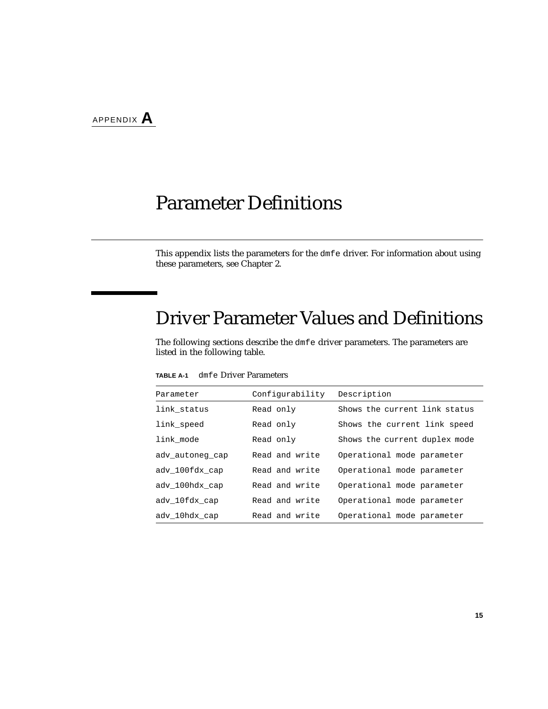## <span id="page-24-2"></span><span id="page-24-0"></span>Parameter Definitions

This appendix lists the parameters for the dmfe driver. For information about using these parameters, see [Chapter 2.](#page-12-2)

## <span id="page-24-1"></span>Driver Parameter Values and Definitions

The following sections describe the dmfe driver parameters. The parameters are listed in the following table.

| Parameter       | Configurability | Description                   |
|-----------------|-----------------|-------------------------------|
| link status     | Read only       | Shows the current link status |
| link speed      | Read only       | Shows the current link speed  |
| link mode       | Read only       | Shows the current duplex mode |
| adv autoneg cap | Read and write  | Operational mode parameter    |
| ady 100fdx cap  | Read and write  | Operational mode parameter    |
| ady 100hdx cap  | Read and write  | Operational mode parameter    |
| ady 10fdx cap   | Read and write  | Operational mode parameter    |
| ady 10hdx cap   | Read and write  | Operational mode parameter    |

**TABLE A-1** dmfe Driver Parameters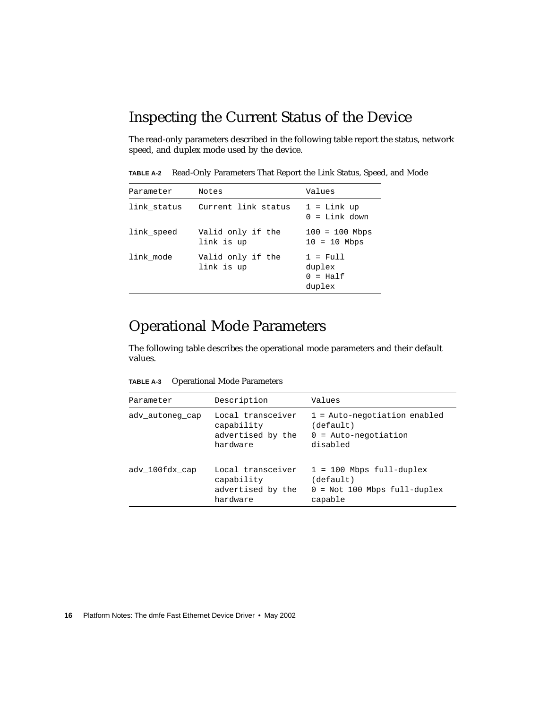#### <span id="page-25-0"></span>Inspecting the Current Status of the Device

The read-only parameters described in the following table report the status, network speed, and duplex mode used by the device.

**TABLE A-2** Read-Only Parameters That Report the Link Status, Speed, and Mode

| Parameter   | Notes                           | Values                                                     |
|-------------|---------------------------------|------------------------------------------------------------|
| link_status | Current link status             | $1 =$ Link up<br>$0 =$ Link down                           |
| link_speed  | Valid only if the<br>link is up | $100 = 100$ Mbps<br>$10 = 10$ Mbps                         |
| link mode   | Valid only if the<br>link is up | $1 = \text{Full}$<br>duplex<br>$0 = \text{Half}$<br>duplex |

#### <span id="page-25-1"></span>Operational Mode Parameters

The following table describes the operational mode parameters and their default values.

**TABLE A-3** Operational Mode Parameters

| Parameter       | Description                                                      | Values                                                                               |
|-----------------|------------------------------------------------------------------|--------------------------------------------------------------------------------------|
| adv_autoneg_cap | Local transceiver<br>capability<br>advertised by the<br>hardware | $1$ = Auto-negotiation enabled<br>(default)<br>$0 =$ Auto-negotiation<br>disabled    |
| ady 100fdx cap  | Local transceiver<br>capability<br>advertised by the<br>hardware | $1 = 100$ Mbps full-duplex<br>(default)<br>$0 =$ Not 100 Mbps full-duplex<br>capable |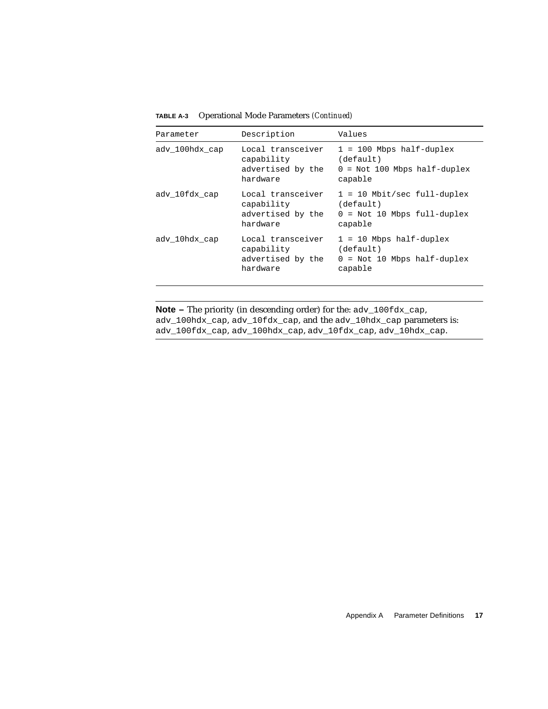| Parameter      | Description                                                      | Values                                                                                 |
|----------------|------------------------------------------------------------------|----------------------------------------------------------------------------------------|
| ady 100hdx cap | Local transceiver<br>capability<br>advertised by the<br>hardware | $1 = 100$ Mbps half-duplex<br>(default)<br>$0 = Not 100 Mbps half-duplex$<br>capable   |
| ady 10fdx cap  | Local transceiver<br>capability<br>advertised by the<br>hardware | $1 = 10$ Mbit/sec full-duplex<br>(default)<br>$0 =$ Not 10 Mbps full-duplex<br>capable |
| ady 10hdx cap  | Local transceiver<br>capability<br>advertised by the<br>hardware | $1 = 10$ Mbps half-duplex<br>(default)<br>$0 = Not 10 Mbps half-duplex$<br>capable     |

**TABLE A-3** Operational Mode Parameters *(Continued)*

**Note –** The priority (in descending order) for the:  $adv_100fdx_cap$ , adv\_100hdx\_cap, adv\_10fdx\_cap, and the adv\_10hdx\_cap parameters is: adv\_100fdx\_cap, adv\_100hdx\_cap, adv\_10fdx\_cap, adv\_10hdx\_cap.